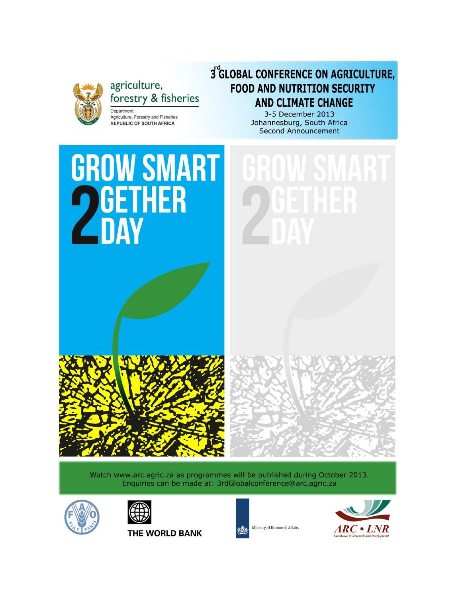

agriculture, forestry & fisheries Department:

Agriculture, Forestry and Fisheries

**REPUBLIC OF SOUTH AFRICA** 

# 3<sup>°</sup>GLOBAL CONFERENCE ON AGRICULTURE, **FOOD AND NUTRITION SECURITY AND CLIMATE CHANGE**

3-5 December 2013 Johannesburg, South Africa **Second Announcement** 



Watch www.arc.agric.za as programmes will be published during October 2013. Enquiries can be made at: 3rdGlobalconference@arc.agric.za





**THE WORLD BANK** 



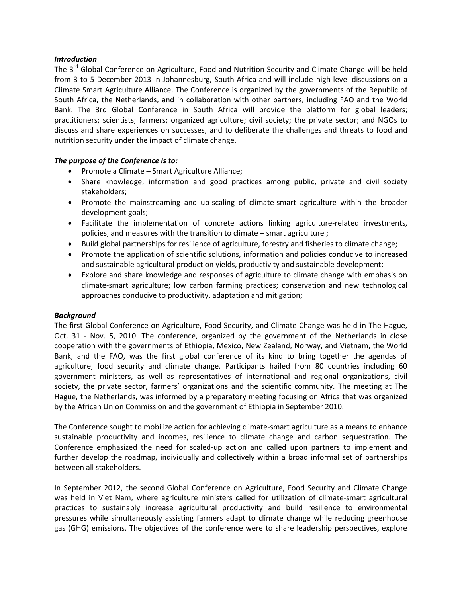### *Introduction*

The 3<sup>rd</sup> Global Conference on Agriculture, Food and Nutrition Security and Climate Change will be held from 3 to 5 December 2013 in Johannesburg, South Africa and will include high-level discussions on a Climate Smart Agriculture Alliance. The Conference is organized by the governments of the Republic of South Africa, the Netherlands, and in collaboration with other partners, including FAO and the World Bank. The 3rd Global Conference in South Africa will provide the platform for global leaders; practitioners; scientists; farmers; organized agriculture; civil society; the private sector; and NGOs to discuss and share experiences on successes, and to deliberate the challenges and threats to food and nutrition security under the impact of climate change.

#### *The purpose of the Conference is to:*

- Promote a Climate Smart Agriculture Alliance;
- Share knowledge, information and good practices among public, private and civil society stakeholders;
- Promote the mainstreaming and up-scaling of climate-smart agriculture within the broader development goals;
- Facilitate the implementation of concrete actions linking agriculture-related investments, policies, and measures with the transition to climate – smart agriculture ;
- Build global partnerships for resilience of agriculture, forestry and fisheries to climate change;
- Promote the application of scientific solutions, information and policies conducive to increased and sustainable agricultural production yields, productivity and sustainable development;
- Explore and share knowledge and responses of agriculture to climate change with emphasis on climate-smart agriculture; low carbon farming practices; conservation and new technological approaches conducive to productivity, adaptation and mitigation;

## *Background*

The first Global Conference on Agriculture, Food Security, and Climate Change was held in The Hague, Oct. 31 - Nov. 5, 2010. The conference, organized by the government of the Netherlands in close cooperation with the governments of Ethiopia, Mexico, New Zealand, Norway, and Vietnam, the World Bank, and the FAO, was the first global conference of its kind to bring together the agendas of agriculture, food security and climate change. Participants hailed from 80 countries including 60 government ministers, as well as representatives of international and regional organizations, civil society, the private sector, farmers' organizations and the scientific community. The meeting at The Hague, the Netherlands, was informed by a preparatory meeting focusing on Africa that was organized by the African Union Commission and the government of Ethiopia in September 2010.

The Conference sought to mobilize action for achieving climate-smart agriculture as a means to enhance sustainable productivity and incomes, resilience to climate change and carbon sequestration. The Conference emphasized the need for scaled-up action and called upon partners to implement and further develop the roadmap, individually and collectively within a broad informal set of partnerships between all stakeholders.

In September 2012, the second Global Conference on Agriculture, Food Security and Climate Change was held in Viet Nam, where agriculture ministers called for utilization of climate-smart agricultural practices to sustainably increase agricultural productivity and build resilience to environmental pressures while simultaneously assisting farmers adapt to climate change while reducing greenhouse gas (GHG) emissions. The objectives of the conference were to share leadership perspectives, explore